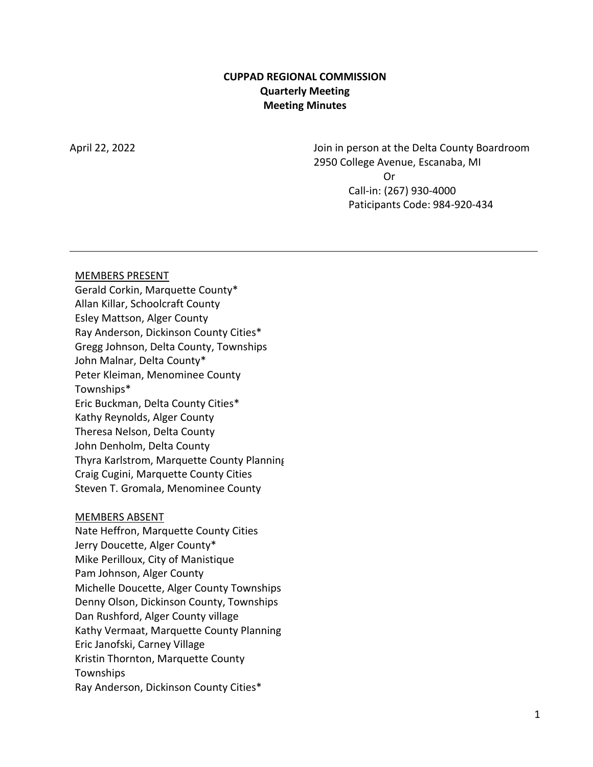### **CUPPAD REGIONAL COMMISSION Quarterly Meeting Meeting Minutes**

April 22, 2022 Join in person at the Delta County Boardroom 2950 College Avenue, Escanaba, MI Or Call-in: (267) 930-4000 Paticipants Code: 984-920-434

#### MEMBERS PRESENT

Gerald Corkin, Marquette County\* Allan Killar, Schoolcraft County Esley Mattson, Alger County Ray Anderson, Dickinson County Cities\* Gregg Johnson, Delta County, Townships John Malnar, Delta County\* Peter Kleiman, Menominee County Townships\* Eric Buckman, Delta County Cities\* Kathy Reynolds, Alger County Theresa Nelson, Delta County John Denholm, Delta County Thyra Karlstrom, Marquette County Planning Craig Cugini, Marquette County Cities Steven T. Gromala, Menominee County

#### MEMBERS ABSENT

Nate Heffron, Marquette County Cities Jerry Doucette, Alger County\* Mike Perilloux, City of Manistique Pam Johnson, Alger County Michelle Doucette, Alger County Townships Denny Olson, Dickinson County, Townships Dan Rushford, Alger County village Kathy Vermaat, Marquette County Planning Eric Janofski, Carney Village Kristin Thornton, Marquette County Townships Ray Anderson, Dickinson County Cities\*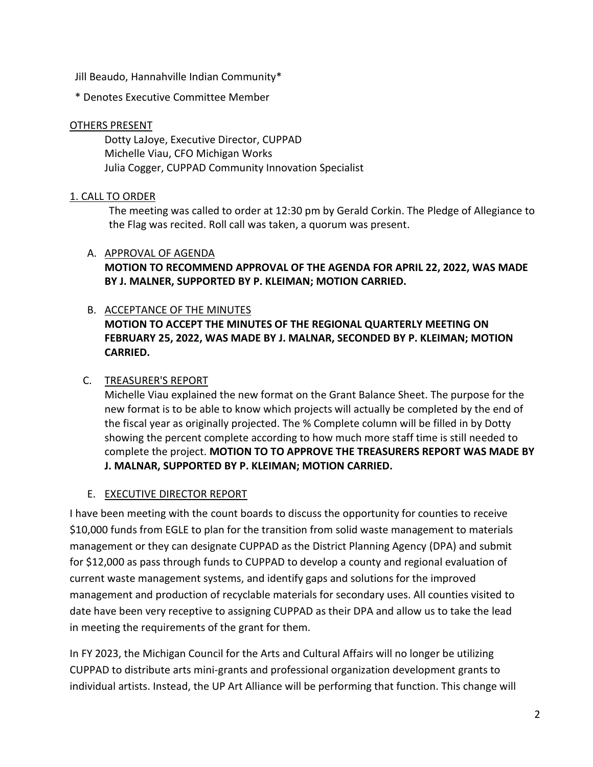Jill Beaudo, Hannahville Indian Community\*

\* Denotes Executive Committee Member

### OTHERS PRESENT

Dotty LaJoye, Executive Director, CUPPAD Michelle Viau, CFO Michigan Works Julia Cogger, CUPPAD Community Innovation Specialist

## 1. CALL TO ORDER

The meeting was called to order at 12:30 pm by Gerald Corkin. The Pledge of Allegiance to the Flag was recited. Roll call was taken, a quorum was present.

### A. APPROVAL OF AGENDA

**MOTION TO RECOMMEND APPROVAL OF THE AGENDA FOR APRIL 22, 2022, WAS MADE BY J. MALNER, SUPPORTED BY P. KLEIMAN; MOTION CARRIED.**

# B. ACCEPTANCE OF THE MINUTES **MOTION TO ACCEPT THE MINUTES OF THE REGIONAL QUARTERLY MEETING ON FEBRUARY 25, 2022, WAS MADE BY J. MALNAR, SECONDED BY P. KLEIMAN; MOTION CARRIED.**

# C. TREASURER'S REPORT

Michelle Viau explained the new format on the Grant Balance Sheet. The purpose for the new format is to be able to know which projects will actually be completed by the end of the fiscal year as originally projected. The % Complete column will be filled in by Dotty showing the percent complete according to how much more staff time is still needed to complete the project. **MOTION TO TO APPROVE THE TREASURERS REPORT WAS MADE BY J. MALNAR, SUPPORTED BY P. KLEIMAN; MOTION CARRIED.**

## E. EXECUTIVE DIRECTOR REPORT

I have been meeting with the count boards to discuss the opportunity for counties to receive \$10,000 funds from EGLE to plan for the transition from solid waste management to materials management or they can designate CUPPAD as the District Planning Agency (DPA) and submit for \$12,000 as pass through funds to CUPPAD to develop a county and regional evaluation of current waste management systems, and identify gaps and solutions for the improved management and production of recyclable materials for secondary uses. All counties visited to date have been very receptive to assigning CUPPAD as their DPA and allow us to take the lead in meeting the requirements of the grant for them.

In FY 2023, the Michigan Council for the Arts and Cultural Affairs will no longer be utilizing CUPPAD to distribute arts mini-grants and professional organization development grants to individual artists. Instead, the UP Art Alliance will be performing that function. This change will